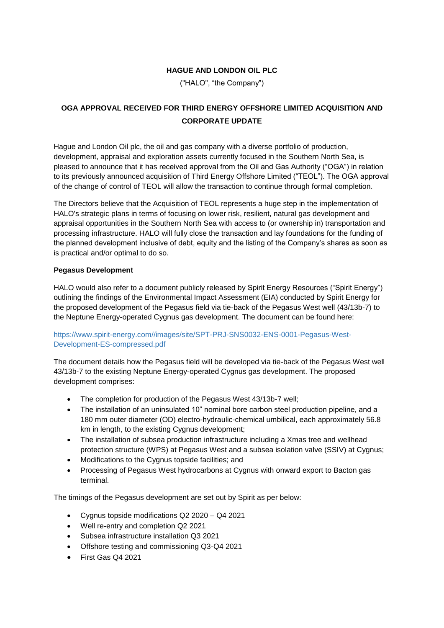### **HAGUE AND LONDON OIL PLC**

("HALO", "the Company")

# **OGA APPROVAL RECEIVED FOR THIRD ENERGY OFFSHORE LIMITED ACQUISITION AND CORPORATE UPDATE**

Hague and London Oil plc, the oil and gas company with a diverse portfolio of production, development, appraisal and exploration assets currently focused in the Southern North Sea, is pleased to announce that it has received approval from the Oil and Gas Authority ("OGA") in relation to its previously announced acquisition of Third Energy Offshore Limited ("TEOL"). The OGA approval of the change of control of TEOL will allow the transaction to continue through formal completion.

The Directors believe that the Acquisition of TEOL represents a huge step in the implementation of HALO's strategic plans in terms of focusing on lower risk, resilient, natural gas development and appraisal opportunities in the Southern North Sea with access to (or ownership in) transportation and processing infrastructure. HALO will fully close the transaction and lay foundations for the funding of the planned development inclusive of debt, equity and the listing of the Company's shares as soon as is practical and/or optimal to do so.

#### **Pegasus Development**

HALO would also refer to a document publicly released by Spirit Energy Resources ("Spirit Energy") outlining the findings of the Environmental Impact Assessment (EIA) conducted by Spirit Energy for the proposed development of the Pegasus field via tie-back of the Pegasus West well (43/13b-7) to the Neptune Energy-operated Cygnus gas development. The document can be found here:

#### [https://www.spirit-energy.com//images/site/SPT-PRJ-SNS0032-ENS-0001-Pegasus-West-](https://www.spirit-energy.com/images/site/SPT-PRJ-SNS0032-ENS-0001-Pegasus-West-Development-ES-compressed.pdf)[Development-ES-compressed.pdf](https://www.spirit-energy.com/images/site/SPT-PRJ-SNS0032-ENS-0001-Pegasus-West-Development-ES-compressed.pdf)

The document details how the Pegasus field will be developed via tie-back of the Pegasus West well 43/13b-7 to the existing Neptune Energy-operated Cygnus gas development. The proposed development comprises:

- The completion for production of the Pegasus West 43/13b-7 well;
- The installation of an uninsulated 10" nominal bore carbon steel production pipeline, and a 180 mm outer diameter (OD) electro-hydraulic-chemical umbilical, each approximately 56.8 km in length, to the existing Cygnus development;
- The installation of subsea production infrastructure including a Xmas tree and wellhead protection structure (WPS) at Pegasus West and a subsea isolation valve (SSIV) at Cygnus;
- Modifications to the Cygnus topside facilities; and
- Processing of Pegasus West hydrocarbons at Cygnus with onward export to Bacton gas terminal.

The timings of the Pegasus development are set out by Spirit as per below:

- Cygnus topside modifications Q2 2020 Q4 2021
- Well re-entry and completion Q2 2021
- Subsea infrastructure installation Q3 2021
- Offshore testing and commissioning Q3-Q4 2021
- First Gas Q4 2021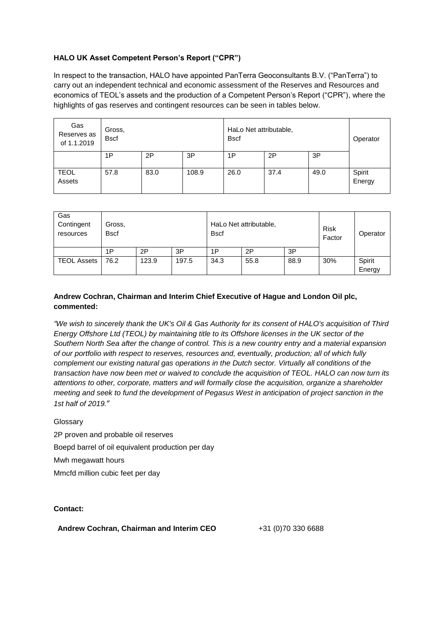## **HALO UK Asset Competent Person's Report ("CPR")**

In respect to the transaction, HALO have appointed PanTerra Geoconsultants B.V. ("PanTerra") to carry out an independent technical and economic assessment of the Reserves and Resources and economics of TEOL's assets and the production of a Competent Person's Report ("CPR"), where the highlights of gas reserves and contingent resources can be seen in tables below.

| Gas<br>Reserves as<br>of 1.1.2019 | Gross,<br><b>Bscf</b> |      |       | HaLo Net attributable,<br><b>Bscf</b> |      |      | Operator         |
|-----------------------------------|-----------------------|------|-------|---------------------------------------|------|------|------------------|
|                                   | 1P                    | 2P   | 3P    | 1P                                    | 2P   | 3P   |                  |
| <b>TEOL</b><br>Assets             | 57.8                  | 83.0 | 108.9 | 26.0                                  | 37.4 | 49.0 | Spirit<br>Energy |

| Gas<br>Contingent<br>resources | Gross,<br><b>Bscf</b> |       |       | HaLo Net attributable,<br><b>B</b> scf |      |      | <b>Risk</b><br>Factor | Operator         |
|--------------------------------|-----------------------|-------|-------|----------------------------------------|------|------|-----------------------|------------------|
|                                | 1P                    | 2P    | 3P    | 1P                                     | 2P   | 3P   |                       |                  |
| <b>TEOL Assets</b>             | 76.2                  | 123.9 | 197.5 | 34.3                                   | 55.8 | 88.9 | 30%                   | Spirit<br>Energy |

## **Andrew Cochran, Chairman and Interim Chief Executive of Hague and London Oil plc, commented:**

*"We wish to sincerely thank the UK's Oil & Gas Authority for its consent of HALO's acquisition of Third Energy Offshore Ltd (TEOL) by maintaining title to its Offshore licenses in the UK sector of the Southern North Sea after the change of control. This is a new country entry and a material expansion of our portfolio with respect to reserves, resources and, eventually, production; all of which fully complement our existing natural gas operations in the Dutch sector. Virtually all conditions of the transaction have now been met or waived to conclude the acquisition of TEOL. HALO can now turn its attentions to other, corporate, matters and will formally close the acquisition, organize a shareholder meeting and seek to fund the development of Pegasus West in anticipation of project sanction in the 1st half of 2019.*"

Glossary

2P proven and probable oil reserves Boepd barrel of oil equivalent production per day Mwh megawatt hours Mmcfd million cubic feet per day

**Contact:**

Andrew Cochran, Chairman and Interim CEO +31 (0)70 330 6688